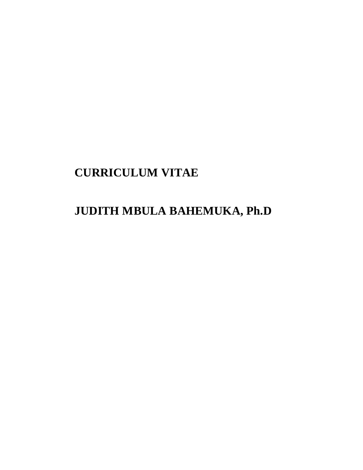# **CURRICULUM VITAE**

# **JUDITH MBULA BAHEMUKA, Ph.D**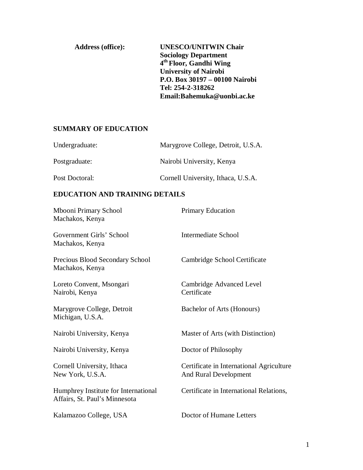| <b>Address (office):</b> | <b>UNESCO/UNITWIN Chair</b>        |
|--------------------------|------------------------------------|
|                          | <b>Sociology Department</b>        |
|                          | 4 <sup>th</sup> Floor, Gandhi Wing |
|                          | <b>University of Nairobi</b>       |
|                          | P.O. Box 30197 - 00100 Nairobi     |
|                          | Tel: 254-2-318262                  |
|                          | Email:Bahemuka@uonbi.ac.ke         |
|                          |                                    |

## **SUMMARY OF EDUCATION**

| Undergraduate: | Marygrove College, Detroit, U.S.A. |
|----------------|------------------------------------|
| Postgraduate:  | Nairobi University, Kenya          |
| Post Doctoral: | Cornell University, Ithaca, U.S.A. |

## **EDUCATION AND TRAINING DETAILS**

| Mbooni Primary School<br>Machakos, Kenya                              | <b>Primary Education</b>                                          |
|-----------------------------------------------------------------------|-------------------------------------------------------------------|
| Government Girls' School<br>Machakos, Kenya                           | Intermediate School                                               |
| Precious Blood Secondary School<br>Machakos, Kenya                    | Cambridge School Certificate                                      |
| Loreto Convent, Msongari<br>Nairobi, Kenya                            | Cambridge Advanced Level<br>Certificate                           |
| Marygrove College, Detroit<br>Michigan, U.S.A.                        | Bachelor of Arts (Honours)                                        |
| Nairobi University, Kenya                                             | Master of Arts (with Distinction)                                 |
| Nairobi University, Kenya                                             | Doctor of Philosophy                                              |
| Cornell University, Ithaca<br>New York, U.S.A.                        | Certificate in International Agriculture<br>And Rural Development |
| Humphrey Institute for International<br>Affairs, St. Paul's Minnesota | Certificate in International Relations,                           |
| Kalamazoo College, USA                                                | Doctor of Humane Letters                                          |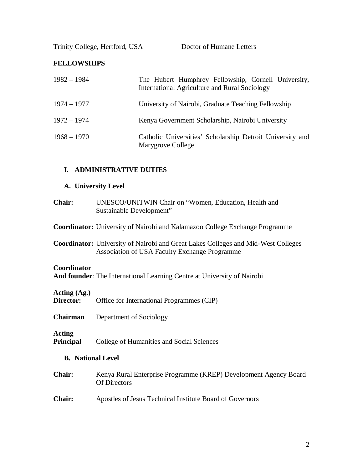Trinity College, Hertford, USA Doctor of Humane Letters

## **FELLOWSHIPS**

| $1982 - 1984$ | The Hubert Humphrey Fellowship, Cornell University,<br>International Agriculture and Rural Sociology |
|---------------|------------------------------------------------------------------------------------------------------|
| $1974 - 1977$ | University of Nairobi, Graduate Teaching Fellowship                                                  |
| $1972 - 1974$ | Kenya Government Scholarship, Nairobi University                                                     |
| $1968 - 1970$ | Catholic Universities' Scholarship Detroit University and<br>Marygrove College                       |

## **I. ADMINISTRATIVE DUTIES**

## **A. University Level**

**Chair:** UNESCO/UNITWIN Chair on "Women, Education, Health and Sustainable Development"

**Coordinator:** University of Nairobi and Kalamazoo College Exchange Programme

**Coordinator:** University of Nairobi and Great Lakes Colleges and Mid-West Colleges Association of USA Faculty Exchange Programme

#### **Coordinator**

**And founder**: The International Learning Centre at University of Nairobi

# **Acting (Ag.)**

Office for International Programmes (CIP)

**Chairman** Department of Sociology

## **Acting**

**Principal** College of Humanities and Social Sciences

## **B. National Level**

- **Chair:** Kenya Rural Enterprise Programme (KREP) Development Agency Board Of Directors
- **Chair:** Apostles of Jesus Technical Institute Board of Governors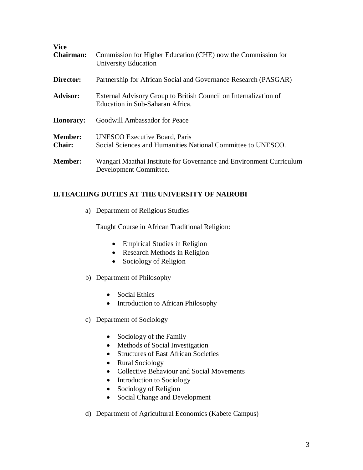| <b>Vice</b><br><b>Chairman:</b> | Commission for Higher Education (CHE) now the Commission for<br>University Education                 |
|---------------------------------|------------------------------------------------------------------------------------------------------|
| Director:                       | Partnership for African Social and Governance Research (PASGAR)                                      |
| <b>Advisor:</b>                 | External Advisory Group to British Council on Internalization of<br>Education in Sub-Saharan Africa. |
| <b>Honorary:</b>                | Goodwill Ambassador for Peace                                                                        |
| <b>Member:</b><br><b>Chair:</b> | <b>UNESCO Executive Board, Paris</b><br>Social Sciences and Humanities National Committee to UNESCO. |
| <b>Member:</b>                  | Wangari Maathai Institute for Governance and Environment Curriculum<br>Development Committee.        |

## **II.TEACHING DUTIES AT THE UNIVERSITY OF NAIROBI**

a) Department of Religious Studies

Taught Course in African Traditional Religion:

- Empirical Studies in Religion
- Research Methods in Religion
- Sociology of Religion
- b) Department of Philosophy
	- Social Ethics
	- Introduction to African Philosophy
- c) Department of Sociology
	- Sociology of the Family
	- Methods of Social Investigation
	- Structures of East African Societies
	- Rural Sociology
	- Collective Behaviour and Social Movements
	- Introduction to Sociology
	- Sociology of Religion
	- Social Change and Development
- d) Department of Agricultural Economics (Kabete Campus)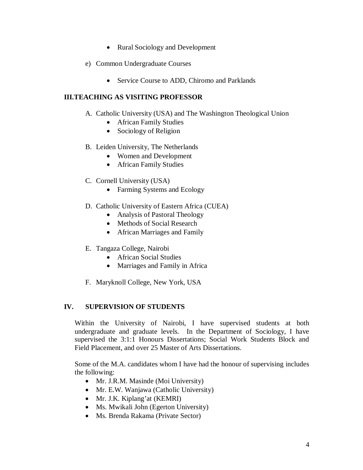- Rural Sociology and Development
- e) Common Undergraduate Courses
	- Service Course to ADD, Chiromo and Parklands

## **III.TEACHING AS VISITING PROFESSOR**

- A. Catholic University (USA) and The Washington Theological Union
	- African Family Studies
	- Sociology of Religion
- B. Leiden University, The Netherlands
	- Women and Development
	- African Family Studies
- C. Cornell University (USA)
	- Farming Systems and Ecology
- D. Catholic University of Eastern Africa (CUEA)
	- Analysis of Pastoral Theology
	- Methods of Social Research
	- African Marriages and Family
- E. Tangaza College, Nairobi
	- African Social Studies
	- Marriages and Family in Africa
- F. Maryknoll College, New York, USA

## **IV. SUPERVISION OF STUDENTS**

Within the University of Nairobi, I have supervised students at both undergraduate and graduate levels. In the Department of Sociology, I have supervised the 3:1:1 Honours Dissertations; Social Work Students Block and Field Placement, and over 25 Master of Arts Dissertations.

Some of the M.A. candidates whom I have had the honour of supervising includes the following:

- Mr. J.R.M. Masinde (Moi University)
- Mr. E.W. Wanjawa (Catholic University)
- Mr. J.K. Kiplang'at (KEMRI)
- Ms. Mwikali John (Egerton University)
- Ms. Brenda Rakama (Private Sector)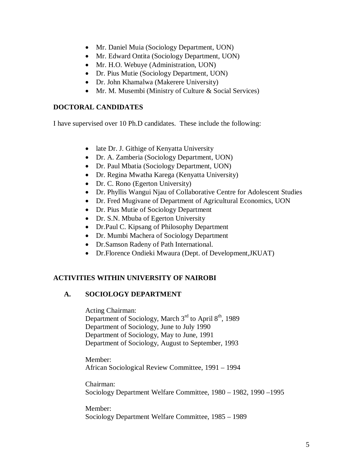- Mr. Daniel Muia (Sociology Department, UON)
- Mr. Edward Ontita (Sociology Department, UON)
- Mr. H.O. Webuye (Administration, UON)
- Dr. Pius Mutie (Sociology Department, UON)
- Dr. John Khamalwa (Makerere University)
- Mr. M. Musembi (Ministry of Culture & Social Services)

## **DOCTORAL CANDIDATES**

I have supervised over 10 Ph.D candidates. These include the following:

- late Dr. J. Githige of Kenyatta University
- Dr. A. Zamberia (Sociology Department, UON)
- Dr. Paul Mbatia (Sociology Department, UON)
- Dr. Regina Mwatha Karega (Kenyatta University)
- Dr. C. Rono (Egerton University)
- Dr. Phyllis Wangui Njau of Collaborative Centre for Adolescent Studies
- Dr. Fred Mugivane of Department of Agricultural Economics, UON
- Dr. Pius Mutie of Sociology Department
- Dr. S.N. Mbuba of Egerton University
- Dr.Paul C. Kipsang of Philosophy Department
- Dr. Mumbi Machera of Sociology Department
- Dr.Samson Radeny of Path International.
- Dr.Florence Ondieki Mwaura (Dept. of Development,JKUAT)

## **ACTIVITIES WITHIN UNIVERSITY OF NAIROBI**

## **A. SOCIOLOGY DEPARTMENT**

Acting Chairman:

Department of Sociology, March  $3<sup>rd</sup>$  to April  $8<sup>th</sup>$ , 1989 Department of Sociology, June to July 1990 Department of Sociology, May to June, 1991 Department of Sociology, August to September, 1993

Member: African Sociological Review Committee, 1991 – 1994

Chairman: Sociology Department Welfare Committee, 1980 – 1982, 1990 –1995

Member: Sociology Department Welfare Committee, 1985 – 1989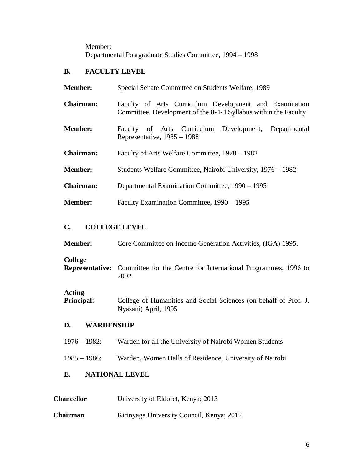Member: Departmental Postgraduate Studies Committee, 1994 – 1998

## **B. FACULTY LEVEL**

| <b>Member:</b>   | Special Senate Committee on Students Welfare, 1989                                                                        |
|------------------|---------------------------------------------------------------------------------------------------------------------------|
| <b>Chairman:</b> | Faculty of Arts Curriculum Development and Examination<br>Committee. Development of the 8-4-4 Syllabus within the Faculty |
| <b>Member:</b>   | Faculty of Arts Curriculum Development, Departmental<br>Representative, $1985 - 1988$                                     |
| <b>Chairman:</b> | Faculty of Arts Welfare Committee, 1978 – 1982                                                                            |
| <b>Member:</b>   | Students Welfare Committee, Nairobi University, 1976 – 1982                                                               |
| <b>Chairman:</b> | Departmental Examination Committee, 1990 – 1995                                                                           |
| <b>Member:</b>   | Faculty Examination Committee, 1990 – 1995                                                                                |

## **C. COLLEGE LEVEL**

| <b>Member:</b>          | Core Committee on Income Generation Activities, (IGA) 1995.                                   |  |  |  |  |  |
|-------------------------|-----------------------------------------------------------------------------------------------|--|--|--|--|--|
| <b>College</b>          | <b>Representative:</b> Committee for the Centre for International Programmes, 1996 to<br>2002 |  |  |  |  |  |
| Acting<br>Principal:    | College of Humanities and Social Sciences (on behalf of Prof. J.<br>Nyasani) April, 1995      |  |  |  |  |  |
| <b>WARDENSHIP</b><br>D. |                                                                                               |  |  |  |  |  |
| $1976 - 1982$ :         | Warden for all the University of Nairobi Women Students                                       |  |  |  |  |  |
| $1985 - 1986$ :         | Warden, Women Halls of Residence, University of Nairobi                                       |  |  |  |  |  |

# **E. NATIONAL LEVEL**

| <b>Chancellor</b> | University of Eldoret, Kenya; 2013 |
|-------------------|------------------------------------|
|-------------------|------------------------------------|

**Chairman** Kirinyaga University Council, Kenya; 2012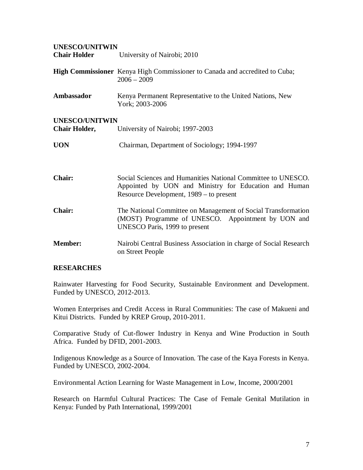# **UNESCO/UNITWIN Chair Holder** University of Nairobi; 2010 **High Commissioner** Kenya High Commissioner to Canada and accredited to Cuba;  $2006 - 2009$ **Ambassador** Kenya Permanent Representative to the United Nations, New York; 2003-2006 **UNESCO/UNITWIN Chair Holder,** University of Nairobi; 1997-2003 **UON** Chairman, Department of Sociology; 1994-1997 **Chair:** Social Sciences and Humanities National Committee to UNESCO. Appointed by UON and Ministry for Education and Human Resource Development, 1989 – to present **Chair:** The National Committee on Management of Social Transformation (MOST) Programme of UNESCO. Appointment by UON and UNESCO Paris, 1999 to present **Member:** Nairobi Central Business Association in charge of Social Research on Street People

## **RESEARCHES**

Rainwater Harvesting for Food Security, Sustainable Environment and Development. Funded by UNESCO, 2012-2013.

Women Enterprises and Credit Access in Rural Communities: The case of Makueni and Kitui Districts. Funded by KREP Group, 2010-2011.

Comparative Study of Cut-flower Industry in Kenya and Wine Production in South Africa. Funded by DFID, 2001-2003.

Indigenous Knowledge as a Source of Innovation. The case of the Kaya Forests in Kenya. Funded by UNESCO, 2002-2004.

Environmental Action Learning for Waste Management in Low, Income, 2000/2001

Research on Harmful Cultural Practices: The Case of Female Genital Mutilation in Kenya: Funded by Path International, 1999/2001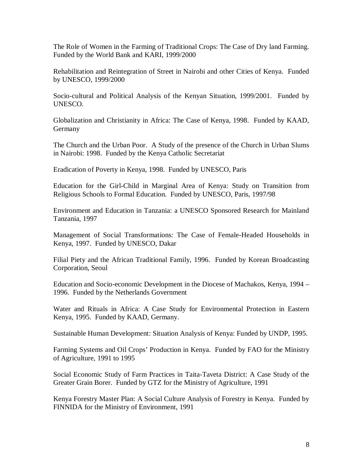The Role of Women in the Farming of Traditional Crops: The Case of Dry land Farming. Funded by the World Bank and KARI, 1999/2000

Rehabilitation and Reintegration of Street in Nairobi and other Cities of Kenya. Funded by UNESCO, 1999/2000

Socio-cultural and Political Analysis of the Kenyan Situation, 1999/2001. Funded by UNESCO.

Globalization and Christianity in Africa: The Case of Kenya, 1998. Funded by KAAD, **Germany** 

The Church and the Urban Poor. A Study of the presence of the Church in Urban Slums in Nairobi: 1998. Funded by the Kenya Catholic Secretariat

Eradication of Poverty in Kenya, 1998. Funded by UNESCO, Paris

Education for the Girl-Child in Marginal Area of Kenya: Study on Transition from Religious Schools to Formal Education. Funded by UNESCO, Paris, 1997/98

Environment and Education in Tanzania: a UNESCO Sponsored Research for Mainland Tanzania, 1997

Management of Social Transformations: The Case of Female-Headed Households in Kenya, 1997. Funded by UNESCO, Dakar

Filial Piety and the African Traditional Family, 1996. Funded by Korean Broadcasting Corporation, Seoul

Education and Socio-economic Development in the Diocese of Machakos, Kenya, 1994 – 1996. Funded by the Netherlands Government

Water and Rituals in Africa: A Case Study for Environmental Protection in Eastern Kenya, 1995. Funded by KAAD, Germany.

Sustainable Human Development: Situation Analysis of Kenya: Funded by UNDP, 1995.

Farming Systems and Oil Crops' Production in Kenya. Funded by FAO for the Ministry of Agriculture, 1991 to 1995

Social Economic Study of Farm Practices in Taita-Taveta District: A Case Study of the Greater Grain Borer. Funded by GTZ for the Ministry of Agriculture, 1991

Kenya Forestry Master Plan: A Social Culture Analysis of Forestry in Kenya. Funded by FINNIDA for the Ministry of Environment, 1991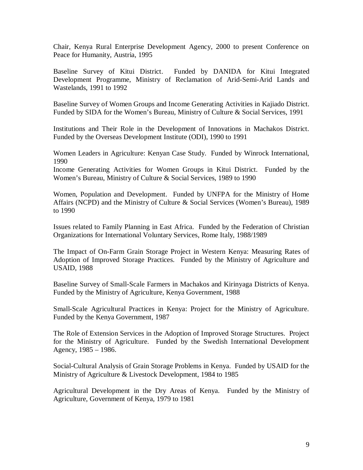Chair, Kenya Rural Enterprise Development Agency, 2000 to present Conference on Peace for Humanity, Austria, 1995

Baseline Survey of Kitui District. Funded by DANIDA for Kitui Integrated Development Programme, Ministry of Reclamation of Arid-Semi-Arid Lands and Wastelands, 1991 to 1992

Baseline Survey of Women Groups and Income Generating Activities in Kajiado District. Funded by SIDA for the Women's Bureau, Ministry of Culture & Social Services, 1991

Institutions and Their Role in the Development of Innovations in Machakos District. Funded by the Overseas Development Institute (ODI), 1990 to 1991

Women Leaders in Agriculture: Kenyan Case Study. Funded by Winrock International, 1990

Income Generating Activities for Women Groups in Kitui District. Funded by the Women's Bureau, Ministry of Culture & Social Services, 1989 to 1990

Women, Population and Development. Funded by UNFPA for the Ministry of Home Affairs (NCPD) and the Ministry of Culture & Social Services (Women's Bureau), 1989 to 1990

Issues related to Family Planning in East Africa. Funded by the Federation of Christian Organizations for International Voluntary Services, Rome Italy, 1988/1989

The Impact of On-Farm Grain Storage Project in Western Kenya: Measuring Rates of Adoption of Improved Storage Practices. Funded by the Ministry of Agriculture and USAID, 1988

Baseline Survey of Small-Scale Farmers in Machakos and Kirinyaga Districts of Kenya. Funded by the Ministry of Agriculture, Kenya Government, 1988

Small-Scale Agricultural Practices in Kenya: Project for the Ministry of Agriculture. Funded by the Kenya Government, 1987

The Role of Extension Services in the Adoption of Improved Storage Structures. Project for the Ministry of Agriculture. Funded by the Swedish International Development Agency, 1985 – 1986.

Social-Cultural Analysis of Grain Storage Problems in Kenya. Funded by USAID for the Ministry of Agriculture & Livestock Development, 1984 to 1985

Agricultural Development in the Dry Areas of Kenya. Funded by the Ministry of Agriculture, Government of Kenya, 1979 to 1981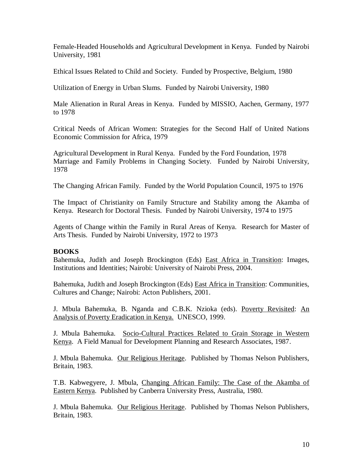Female-Headed Households and Agricultural Development in Kenya. Funded by Nairobi University, 1981

Ethical Issues Related to Child and Society. Funded by Prospective, Belgium, 1980

Utilization of Energy in Urban Slums. Funded by Nairobi University, 1980

Male Alienation in Rural Areas in Kenya. Funded by MISSIO, Aachen, Germany, 1977 to 1978

Critical Needs of African Women: Strategies for the Second Half of United Nations Economic Commission for Africa, 1979

Agricultural Development in Rural Kenya. Funded by the Ford Foundation, 1978 Marriage and Family Problems in Changing Society. Funded by Nairobi University, 1978

The Changing African Family. Funded by the World Population Council, 1975 to 1976

The Impact of Christianity on Family Structure and Stability among the Akamba of Kenya. Research for Doctoral Thesis. Funded by Nairobi University, 1974 to 1975

Agents of Change within the Family in Rural Areas of Kenya. Research for Master of Arts Thesis. Funded by Nairobi University, 1972 to 1973

## **BOOKS**

Bahemuka, Judith and Joseph Brockington (Eds) East Africa in Transition: Images, Institutions and Identities; Nairobi: University of Nairobi Press, 2004.

Bahemuka, Judith and Joseph Brockington (Eds) East Africa in Transition: Communities, Cultures and Change; Nairobi: Acton Publishers, 2001.

J. Mbula Bahemuka, B. Nganda and C.B.K. Nzioka (eds). Poverty Revisited: An Analysis of Poverty Eradication in Kenya. UNESCO, 1999.

J. Mbula Bahemuka. Socio-Cultural Practices Related to Grain Storage in Western Kenya. A Field Manual for Development Planning and Research Associates, 1987.

J. Mbula Bahemuka. Our Religious Heritage. Published by Thomas Nelson Publishers, Britain, 1983.

T.B. Kabwegyere, J. Mbula, Changing African Family: The Case of the Akamba of Eastern Kenya. Published by Canberra University Press, Australia, 1980.

J. Mbula Bahemuka. Our Religious Heritage. Published by Thomas Nelson Publishers, Britain, 1983.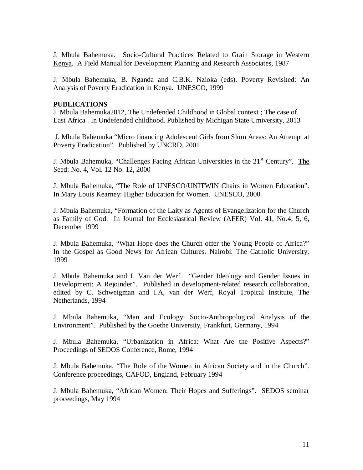J. Mbula Bahemuka. Socio-Cultural Practices Related to Grain Storage in Western Kenya. A Field Manual for Development Planning and Research Associates, 1987

J. Mbula Bahemuka, B. Nganda and C.B.K. Nzioka (eds). Poverty Revisited: An Analysis of Poverty Eradication in Kenya. UNESCO, 1999

## **PUBLICATIONS**

J. Mbula Bahemuka2012, The Undefended Childhood in Global context ; The case of East Africa . In Undefended childhood. Published by Michigan State Umiversity, 2013

J. Mbula Bahemuka "Micro financing Adolescent Girls from Slum Areas: An Attempt at Poverty Eradication". Published by UNCRD, 2001

J. Mbula Bahemuka, "Challenges Facing African Universities in the  $21<sup>st</sup>$  Century". The Seed: No. 4, Vol. 12 No. 12, 2000

J. Mbula Bahemuka, "The Role of UNESCO/UNITWIN Chairs in Women Education". In Mary Louis Kearney: Higher Education for Women. UNESCO, 2000

J. Mbula Bahemuka, "Formation of the Laity as Agents of Evangelization for the Church as Family of God. In Journal for Ecclesiastical Review (AFER) Vol. 41, No.4, 5, 6, December 1999

J. Mbula Bahemuka, "What Hope does the Church offer the Young People of Africa?" In the Gospel as Good News for African Cultures. Nairobi: The Catholic University, 1999

J. Mbula Bahemuka and I. Van der Werf. "Gender Ideology and Gender Issues in Development: A Rejoinder". Published in development-related research collaboration, edited by C. Schweigman and I.A, van der Werf, Royal Tropical Institute, The Netherlands, 1994

J. Mbula Bahemuka, "Man and Ecology: Socio-Anthropological Analysis of the Environment". Published by the Goethe University, Frankfurt, Germany, 1994

J. Mbula Bahemuka, "Urbanization in Africa: What Are the Positive Aspects?" Proceedings of SEDOS Conference, Rome, 1994

J. Mbula Bahemuka, "The Role of the Women in African Society and in the Church". Conference proceedings, CAFOD, England, February 1994

J. Mbula Bahemuka, "African Women: Their Hopes and Sufferings". SEDOS seminar proceedings, May 1994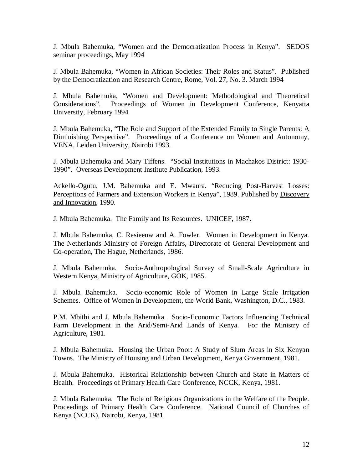J. Mbula Bahemuka, "Women and the Democratization Process in Kenya". SEDOS seminar proceedings, May 1994

J. Mbula Bahemuka, "Women in African Societies: Their Roles and Status". Published by the Democratization and Research Centre, Rome, Vol. 27, No. 3. March 1994

J. Mbula Bahemuka, "Women and Development: Methodological and Theoretical Considerations". Proceedings of Women in Development Conference, Kenyatta University, February 1994

J. Mbula Bahemuka, "The Role and Support of the Extended Family to Single Parents: A Diminishing Perspective". Proceedings of a Conference on Women and Autonomy, VENA, Leiden University, Nairobi 1993.

J. Mbula Bahemuka and Mary Tiffens. "Social Institutions in Machakos District: 1930- 1990". Overseas Development Institute Publication, 1993.

Ackello-Ogutu, J.M. Bahemuka and E. Mwaura. "Reducing Post-Harvest Losses: Perceptions of Farmers and Extension Workers in Kenya", 1989. Published by Discovery and Innovation, 1990.

J. Mbula Bahemuka. The Family and Its Resources. UNICEF, 1987.

J. Mbula Bahemuka, C. Resieeuw and A. Fowler. Women in Development in Kenya. The Netherlands Ministry of Foreign Affairs, Directorate of General Development and Co-operation, The Hague, Netherlands, 1986.

J. Mbula Bahemuka. Socio-Anthropological Survey of Small-Scale Agriculture in Western Kenya, Ministry of Agriculture, GOK, 1985.

J. Mbula Bahemuka. Socio-economic Role of Women in Large Scale Irrigation Schemes. Office of Women in Development, the World Bank, Washington, D.C., 1983.

P.M. Mbithi and J. Mbula Bahemuka. Socio-Economic Factors Influencing Technical Farm Development in the Arid/Semi-Arid Lands of Kenya. For the Ministry of Agriculture, 1981.

J. Mbula Bahemuka. Housing the Urban Poor: A Study of Slum Areas in Six Kenyan Towns. The Ministry of Housing and Urban Development, Kenya Government, 1981.

J. Mbula Bahemuka. Historical Relationship between Church and State in Matters of Health. Proceedings of Primary Health Care Conference, NCCK, Kenya, 1981.

J. Mbula Bahemuka. The Role of Religious Organizations in the Welfare of the People. Proceedings of Primary Health Care Conference. National Council of Churches of Kenya (NCCK), Nairobi, Kenya, 1981.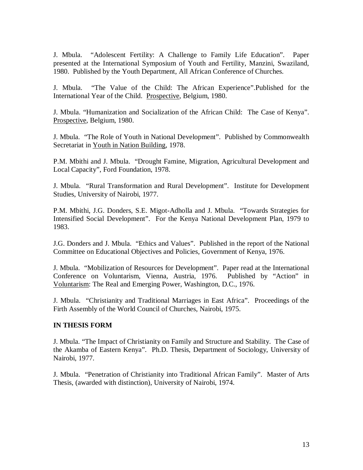J. Mbula. "Adolescent Fertility: A Challenge to Family Life Education". Paper presented at the International Symposium of Youth and Fertility, Manzini, Swaziland, 1980. Published by the Youth Department, All African Conference of Churches.

J. Mbula. "The Value of the Child: The African Experience".Published for the International Year of the Child. Prospective, Belgium, 1980.

J. Mbula. "Humanization and Socialization of the African Child: The Case of Kenya". Prospective, Belgium, 1980.

J. Mbula. "The Role of Youth in National Development". Published by Commonwealth Secretariat in Youth in Nation Building, 1978.

P.M. Mbithi and J. Mbula. "Drought Famine, Migration, Agricultural Development and Local Capacity", Ford Foundation, 1978.

J. Mbula. "Rural Transformation and Rural Development". Institute for Development Studies, University of Nairobi, 1977.

P.M. Mbithi, J.G. Donders, S.E. Migot-Adholla and J. Mbula. "Towards Strategies for Intensified Social Development". For the Kenya National Development Plan, 1979 to 1983.

J.G. Donders and J. Mbula. "Ethics and Values". Published in the report of the National Committee on Educational Objectives and Policies, Government of Kenya, 1976.

J. Mbula. "Mobilization of Resources for Development". Paper read at the International Conference on Voluntarism, Vienna, Austria, 1976. Published by "Action" in Voluntarism: The Real and Emerging Power, Washington, D.C., 1976.

J. Mbula. "Christianity and Traditional Marriages in East Africa". Proceedings of the Firth Assembly of the World Council of Churches, Nairobi, 1975.

## **IN THESIS FORM**

J. Mbula. "The Impact of Christianity on Family and Structure and Stability. The Case of the Akamba of Eastern Kenya". Ph.D. Thesis, Department of Sociology, University of Nairobi, 1977.

J. Mbula. "Penetration of Christianity into Traditional African Family". Master of Arts Thesis, (awarded with distinction), University of Nairobi, 1974.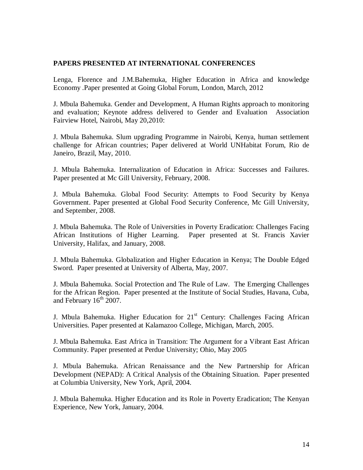## **PAPERS PRESENTED AT INTERNATIONAL CONFERENCES**

Lenga, Florence and J.M.Bahemuka, Higher Education in Africa and knowledge Economy .Paper presented at Going Global Forum, London, March, 2012

J. Mbula Bahemuka. Gender and Development, A Human Rights approach to monitoring and evaluation; Keynote address delivered to Gender and Evaluation Association Fairview Hotel, Nairobi, May 20,2010:

J. Mbula Bahemuka. Slum upgrading Programme in Nairobi, Kenya, human settlement challenge for African countries; Paper delivered at World UNHabitat Forum, Rio de Janeiro, Brazil, May, 2010.

J. Mbula Bahemuka. Internalization of Education in Africa: Successes and Failures. Paper presented at Mc Gill University, February, 2008.

J. Mbula Bahemuka. Global Food Security: Attempts to Food Security by Kenya Government. Paper presented at Global Food Security Conference, Mc Gill University, and September, 2008.

J. Mbula Bahemuka. The Role of Universities in Poverty Eradication: Challenges Facing African Institutions of Higher Learning. Paper presented at St. Francis Xavier University, Halifax, and January, 2008.

J. Mbula Bahemuka. Globalization and Higher Education in Kenya; The Double Edged Sword. Paper presented at University of Alberta, May, 2007.

J. Mbula Bahemuka. Social Protection and The Rule of Law. The Emerging Challenges for the African Region. Paper presented at the Institute of Social Studies, Havana, Cuba, and February  $16^{th}$  2007.

J. Mbula Bahemuka. Higher Education for  $21<sup>st</sup>$  Century: Challenges Facing African Universities. Paper presented at Kalamazoo College, Michigan, March, 2005.

J. Mbula Bahemuka. East Africa in Transition: The Argument for a Vibrant East African Community. Paper presented at Perdue University; Ohio, May 2005

J. Mbula Bahemuka. African Renaissance and the New Partnership for African Development (NEPAD): A Critical Analysis of the Obtaining Situation. Paper presented at Columbia University, New York, April, 2004.

J. Mbula Bahemuka. Higher Education and its Role in Poverty Eradication; The Kenyan Experience, New York, January, 2004.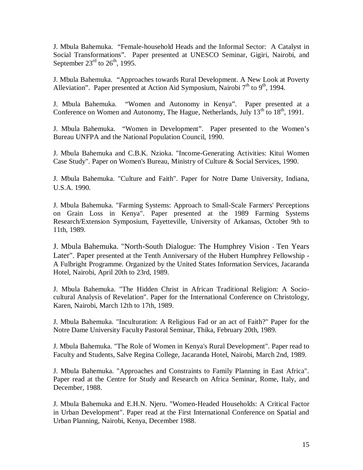J. Mbula Bahemuka. "Female-household Heads and the Informal Sector: A Catalyst in Social Transformations". Paper presented at UNESCO Seminar, Gigiri, Nairobi, and September  $23^{\text{rd}}$  to  $26^{\text{th}}$ , 1995.

J. Mbula Bahemuka. "Approaches towards Rural Development. A New Look at Poverty Alleviation". Paper presented at Action Aid Symposium, Nairobi  $7<sup>th</sup>$  to  $9<sup>th</sup>$ , 1994.

J. Mbula Bahemuka. "Women and Autonomy in Kenya". Paper presented at a Conference on Women and Autonomy, The Hague, Netherlands, July  $13<sup>th</sup>$  to  $18<sup>th</sup>$ , 1991.

J. Mbula Bahemuka. "Women in Development". Paper presented to the Women's Bureau UNFPA and the National Population Council, 1990.

J. Mbula Bahemuka and C.B.K. Nzioka. "Income-Generating Activities: Kitui Women Case Study". Paper on Women's Bureau, Ministry of Culture & Social Services, 1990.

J. Mbula Bahemuka. "Culture and Faith". Paper for Notre Dame University, Indiana, U.S.A. 1990.

J. Mbula Bahemuka. "Farming Systems: Approach to Small-Scale Farmers' Perceptions on Grain Loss in Kenya". Paper presented at the 1989 Farming Systems Research/Extension Symposium, Fayetteville, University of Arkansas, October 9th to 11th, 1989.

J. Mbula Bahemuka. "North-South Dialogue: The Humphrey Vision - Ten Years Later". Paper presented at the Tenth Anniversary of the Hubert Humphrey Fellowship - A Fulbright Programme. Organized by the United States Information Services, Jacaranda Hotel, Nairobi, April 20th to 23rd, 1989.

J. Mbula Bahemuka. "The Hidden Christ in African Traditional Religion: A Sociocultural Analysis of Revelation". Paper for the International Conference on Christology, Karen, Nairobi, March 12th to 17th, 1989.

J. Mbula Bahemuka. "Inculturation: A Religious Fad or an act of Faith?" Paper for the Notre Dame University Faculty Pastoral Seminar, Thika, February 20th, 1989.

J. Mbula Bahemuka. "The Role of Women in Kenya's Rural Development". Paper read to Faculty and Students, Salve Regina College, Jacaranda Hotel, Nairobi, March 2nd, 1989.

J. Mbula Bahemuka. "Approaches and Constraints to Family Planning in East Africa". Paper read at the Centre for Study and Research on Africa Seminar, Rome, Italy, and December, 1988.

J. Mbula Bahemuka and E.H.N. Njeru. "Women-Headed Households: A Critical Factor in Urban Development". Paper read at the First International Conference on Spatial and Urban Planning, Nairobi, Kenya, December 1988.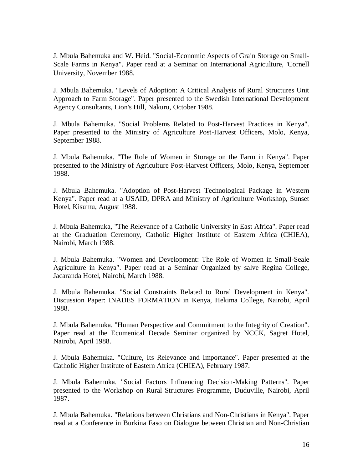J. Mbula Bahemuka and W. Heid. "Social-Economic Aspects of Grain Storage on Small-Scale Farms in Kenya". Paper read at a Seminar on International Agriculture, 'Cornell University, November 1988.

J. Mbula Bahemuka. "Levels of Adoption: A Critical Analysis of Rural Structures Unit Approach to Farm Storage". Paper presented to the Swedish International Development Agency Consultants, Lion's Hill, Nakuru, October 1988.

J. Mbula Bahemuka. "Social Problems Related to Post-Harvest Practices in Kenya". Paper presented to the Ministry of Agriculture Post-Harvest Officers, Molo, Kenya, September 1988.

J. Mbula Bahemuka. "The Role of Women in Storage on the Farm in Kenya". Paper presented to the Ministry of Agriculture Post-Harvest Officers, Molo, Kenya, September 1988.

J. Mbula Bahemuka. "Adoption of Post-Harvest Technological Package in Western Kenya". Paper read at a USAID, DPRA and Ministry of Agriculture Workshop, Sunset Hotel, Kisumu, August 1988.

J. Mbula Bahemuka, "The Relevance of a Catholic University in East Africa". Paper read at the Graduation Ceremony, Catholic Higher Institute of Eastern Africa (CHIEA), Nairobi, March 1988.

J. Mbula Bahemuka. "Women and Development: The Role of Women in Small-Seale Agriculture in Kenya". Paper read at a Seminar Organized by salve Regina College, Jacaranda Hotel, Nairobi, March 1988.

J. Mbula Bahemuka. "Social Constraints Related to Rural Development in Kenya". Discussion Paper: INADES FORMATION in Kenya, Hekima College, Nairobi, April 1988.

J. Mbula Bahemuka. "Human Perspective and Commitment to the Integrity of Creation". Paper read at the Ecumenical Decade Seminar organized by NCCK, Sagret Hotel, Nairobi, April 1988.

J. Mbula Bahemuka. "Culture, Its Relevance and Importance". Paper presented at the Catholic Higher Institute of Eastern Africa (CHIEA), February 1987.

J. Mbula Bahemuka. "Social Factors Influencing Decision-Making Patterns". Paper presented to the Workshop on Rural Structures Programme, Duduville, Nairobi, April 1987.

J. Mbula Bahemuka. "Relations between Christians and Non-Christians in Kenya". Paper read at a Conference in Burkina Faso on Dialogue between Christian and Non-Christian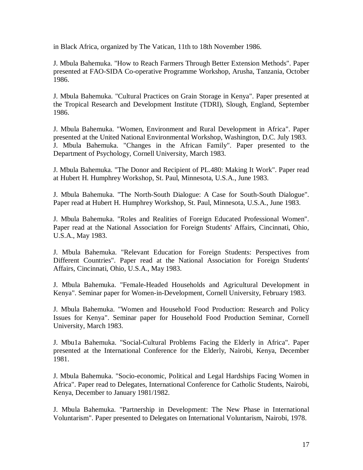in Black Africa, organized by The Vatican, 11th to 18th November 1986.

J. Mbula Bahemuka. "How to Reach Farmers Through Better Extension Methods". Paper presented at FAO-SIDA Co-operative Programme Workshop, Arusha, Tanzania, October 1986.

J. Mbula Bahemuka. "Cultural Practices on Grain Storage in Kenya". Paper presented at the Tropical Research and Development Institute (TDRI), Slough, England, September 1986.

J. Mbula Bahemuka. "Women, Environment and Rural Development in Africa". Paper presented at the United National Environmental Workshop, Washington, D.C. July 1983. J. Mbula Bahemuka. "Changes in the African Family". Paper presented to the Department of Psychology, Cornell University, March 1983.

J. Mbula Bahemuka. "The Donor and Recipient of PL.480: Making It Work". Paper read at Hubert H. Humphrey Workshop, St. Paul, Minnesota, U.S.A., June 1983.

J. Mbula Bahemuka. "The North-South Dialogue: A Case for South-South Dialogue". Paper read at Hubert H. Humphrey Workshop, St. Paul, Minnesota, U.S.A., June 1983.

J. Mbula Bahemuka. "Roles and Realities of Foreign Educated Professional Women". Paper read at the National Association for Foreign Students' Affairs, Cincinnati, Ohio, U.S.A., May 1983.

J. Mbula Bahemuka. "Relevant Education for Foreign Students: Perspectives from Different Countries". Paper read at the National Association for Foreign Students' Affairs, Cincinnati, Ohio, U.S.A., May 1983.

J. Mbula Bahemuka. "Female-Headed Households and Agricultural Development in Kenya". Seminar paper for Women-in-Development, Cornell University, February 1983.

J. Mbula Bahemuka. "Women and Household Food Production: Research and Policy Issues for Kenya". Seminar paper for Household Food Production Seminar, Cornell University, March 1983.

J. Mbu1a Bahemuka. "Social-Cultural Problems Facing the Elderly in Africa". Paper presented at the International Conference for the Elderly, Nairobi, Kenya, December 1981.

J. Mbula Bahemuka. "Socio-economic, Political and Legal Hardships Facing Women in Africa". Paper read to Delegates, International Conference for Catholic Students, Nairobi, Kenya, December to January 1981/1982.

J. Mbula Bahemuka. "Partnership in Development: The New Phase in International Voluntarism". Paper presented to Delegates on International Voluntarism, Nairobi, 1978.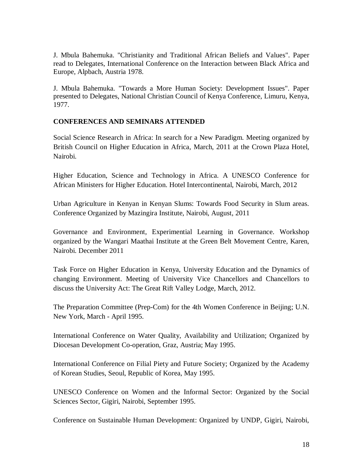J. Mbula Bahemuka. "Christianity and Traditional African Beliefs and Values". Paper read to Delegates, International Conference on the Interaction between Black Africa and Europe, Alpbach, Austria 1978.

J. Mbula Bahemuka. "Towards a More Human Society: Development Issues". Paper presented to Delegates, National Christian Council of Kenya Conference, Limuru, Kenya, 1977.

## **CONFERENCES AND SEMINARS ATTENDED**

Social Science Research in Africa: In search for a New Paradigm. Meeting organized by British Council on Higher Education in Africa, March, 2011 at the Crown Plaza Hotel, Nairobi.

Higher Education, Science and Technology in Africa. A UNESCO Conference for African Ministers for Higher Education. Hotel Intercontinental, Nairobi, March, 2012

Urban Agriculture in Kenyan in Kenyan Slums: Towards Food Security in Slum areas. Conference Organized by Mazingira Institute, Nairobi, August, 2011

Governance and Environment, Experimential Learning in Governance. Workshop organized by the Wangari Maathai Institute at the Green Belt Movement Centre, Karen, Nairobi. December 2011

Task Force on Higher Education in Kenya, University Education and the Dynamics of changing Environment. Meeting of University Vice Chancellors and Chancellors to discuss the University Act: The Great Rift Valley Lodge, March, 2012.

The Preparation Committee (Prep-Com) for the 4th Women Conference in Beijing; U.N. New York, March - April 1995.

International Conference on Water Quality, Availability and Utilization; Organized by Diocesan Development Co-operation, Graz, Austria; May 1995.

International Conference on Filial Piety and Future Society; Organized by the Academy of Korean Studies, Seoul, Republic of Korea, May 1995.

UNESCO Conference on Women and the Informal Sector: Organized by the Social Sciences Sector, Gigiri, Nairobi, September 1995.

Conference on Sustainable Human Development: Organized by UNDP, Gigiri, Nairobi,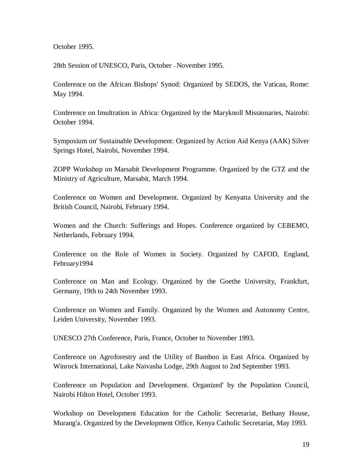October 1995.

28th Session of UNESCO, Paris, October - November 1995.

Conference on the African Bishops' Synod: Organized by SEDOS, the Vatican, Rome: May 1994.

Conference on Imultration in Africa: Organized by the Maryknoll Missionaries, Nairobi: October 1994.

Symposium on' Sustainable Development: Organized by Action Aid Kenya (AAK) Silver Springs Hotel, Nairobi, November 1994.

ZOPP Workshop on Marsabit Development Programme. Organized by the GTZ and the Ministry of Agriculture, Marsabit, March 1994.

Conference on Women and Development. Organized by Kenyatta University and the British Council, Nairobi, February 1994.

Women and the Church: Sufferings and Hopes. Conference organized by CEBEMO, Netherlands, February 1994.

Conference on the Role of Women in Society. Organized by CAFOD, England, February1994

Conference on Man and Ecology. Organized by the Goethe University, Frankfurt, Germany, 19th to 24th November 1993.

Conference on Women and Family. Organized by the Women and Autonomy Centre, Leiden University, November 1993.

UNESCO 27th Conference, Paris, France, October to November 1993.

Conference on Agroforestry and the Utility of Bamboo in East Africa. Organized by Winrock International, Lake Naivasha Lodge, 29th August to 2nd September 1993.

Conference on Population and Development. Organized' by the Population Council, Nairobi Hilton Hotel, October 1993.

Workshop on Development Education for the Catholic Secretariat, Bethany House, Murang'a. Organized by the Development Office, Kenya Catholic Secretariat, May 1993.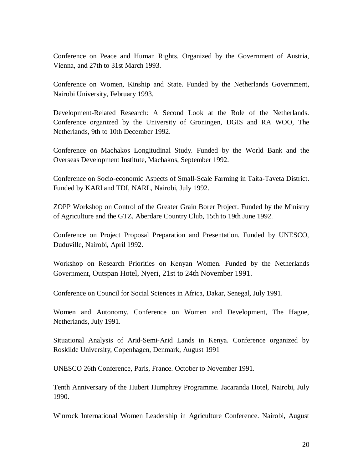Conference on Peace and Human Rights. Organized by the Government of Austria, Vienna, and 27th to 31st March 1993.

Conference on Women, Kinship and State. Funded by the Netherlands Government, Nairobi University, February 1993.

Development-Related Research: A Second Look at the Role of the Netherlands. Conference organized by the University of Groningen, DGIS and RA WOO, The Netherlands, 9th to 10th December 1992.

Conference on Machakos Longitudinal Study. Funded by the World Bank and the Overseas Development Institute, Machakos, September 1992.

Conference on Socio-economic Aspects of Small-Scale Farming in Taita-Taveta District. Funded by KARl and TDI, NARL, Nairobi, July 1992.

ZOPP Workshop on Control of the Greater Grain Borer Project. Funded by the Ministry of Agriculture and the GTZ, Aberdare Country Club, 15th to 19th June 1992.

Conference on Project Proposal Preparation and Presentation. Funded by UNESCO, Duduville, Nairobi, April 1992.

Workshop on Research Priorities on Kenyan Women. Funded by the Netherlands Government, Outspan Hotel, Nyeri, 21st to 24th November 1991.

Conference on Council for Social Sciences in Africa, Dakar, Senegal, July 1991.

Women and Autonomy. Conference on Women and Development, The Hague, Netherlands, July 1991.

Situational Analysis of Arid-Semi-Arid Lands in Kenya. Conference organized by Roskilde University, Copenhagen, Denmark, August 1991

UNESCO 26th Conference, Paris, France. October to November 1991.

Tenth Anniversary of the Hubert Humphrey Programme. Jacaranda Hotel, Nairobi, July 1990.

Winrock International Women Leadership in Agriculture Conference. Nairobi, August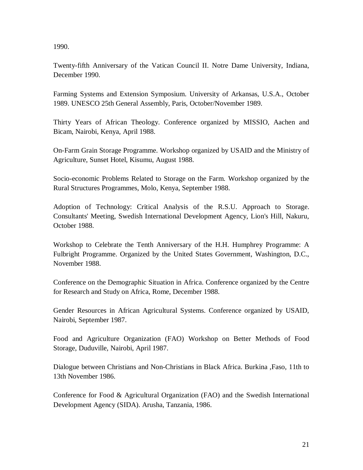1990.

Twenty-fifth Anniversary of the Vatican Council II. Notre Dame University, Indiana, December 1990.

Farming Systems and Extension Symposium. University of Arkansas, U.S.A., October 1989. UNESCO 25th General Assembly, Paris, October/November 1989.

Thirty Years of African Theology. Conference organized by MISSIO, Aachen and Bicam, Nairobi, Kenya, April 1988.

On-Farm Grain Storage Programme. Workshop organized by USAID and the Ministry of Agriculture, Sunset Hotel, Kisumu, August 1988.

Socio-economic Problems Related to Storage on the Farm. Workshop organized by the Rural Structures Programmes, Molo, Kenya, September 1988.

Adoption of Technology: Critical Analysis of the R.S.U. Approach to Storage. Consultants' Meeting, Swedish International Development Agency, Lion's Hill, Nakuru, October 1988.

Workshop to Celebrate the Tenth Anniversary of the H.H. Humphrey Programme: A Fulbright Programme. Organized by the United States Government, Washington, D.C., November 1988.

Conference on the Demographic Situation in Africa. Conference organized by the Centre for Research and Study on Africa, Rome, December 1988.

Gender Resources in African Agricultural Systems. Conference organized by USAID, Nairobi, September 1987.

Food and Agriculture Organization (FAO) Workshop on Better Methods of Food Storage, Duduville, Nairobi, April 1987.

Dialogue between Christians and Non-Christians in Black Africa. Burkina ,Faso, 11th to 13th November 1986.

Conference for Food & Agricultural Organization (FAO) and the Swedish International Development Agency (SIDA). Arusha, Tanzania, 1986.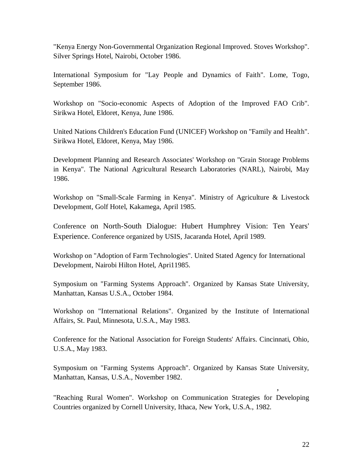"Kenya Energy Non-Governmental Organization Regional Improved. Stoves Workshop". Silver Springs Hotel, Nairobi, October 1986.

International Symposium for "Lay People and Dynamics of Faith". Lome, Togo, September 1986.

Workshop on "Socio-economic Aspects of Adoption of the Improved FAO Crib". Sirikwa Hotel, Eldoret, Kenya, June 1986.

United Nations Children's Education Fund (UNICEF) Workshop on "Family and Health". Sirikwa Hotel, Eldoret, Kenya, May 1986.

Development Planning and Research Associates' Workshop on "Grain Storage Problems in Kenya". The National Agricultural Research Laboratories (NARL), Nairobi, May 1986.

Workshop on "Small-Scale Farming in Kenya". Ministry of Agriculture & Livestock Development, Golf Hotel, Kakamega, April 1985.

Conference on North-South Dialogue: Hubert Humphrey Vision: Ten Years' Experience. Conference organized by USIS, Jacaranda Hotel, April 1989.

Workshop on "Adoption of Farm Technologies". United Stated Agency for International Development, Nairobi Hilton Hotel, Apri11985.

Symposium on "Farming Systems Approach". Organized by Kansas State University, Manhattan, Kansas U.S.A., October 1984.

Workshop on "International Relations". Organized by the Institute of International Affairs, St. Paul, Minnesota, U.S.A., May 1983.

Conference for the National Association for Foreign Students' Affairs. Cincinnati, Ohio, U.S.A., May 1983.

Symposium on "Farming Systems Approach". Organized by Kansas State University, Manhattan, Kansas, U.S.A., November 1982.

"Reaching Rural Women". Workshop on Communication Strategies for Developing Countries organized by Cornell University, Ithaca, New York, U.S.A., 1982.

,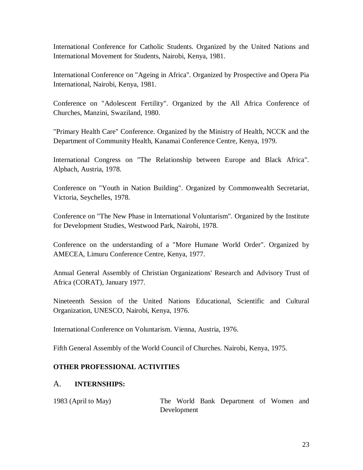International Conference for Catholic Students. Organized by the United Nations and International Movement for Students, Nairobi, Kenya, 1981.

International Conference on "Ageing in Africa". Organized by Prospective and Opera Pia International, Nairobi, Kenya, 1981.

Conference on "Adolescent Fertility". Organized by the All Africa Conference of Churches, Manzini, Swaziland, 1980.

"Primary Health Care" Conference. Organized by the Ministry of Health, NCCK and the Department of Community Health, Kanamai Conference Centre, Kenya, 1979.

International Congress on "The Relationship between Europe and Black Africa". Alpbach, Austria, 1978.

Conference on "Youth in Nation Building". Organized by Commonwealth Secretariat, Victoria, Seychelles, 1978.

Conference on "The New Phase in International Voluntarism". Organized by the Institute for Development Studies, Westwood Park, Nairobi, 1978.

Conference on the understanding of a "More Humane World Order". Organized by AMECEA, Limuru Conference Centre, Kenya, 1977.

Annual General Assembly of Christian Organizations' Research and Advisory Trust of Africa (CORAT), January 1977.

Nineteenth Session of the United Nations Educational, Scientific and Cultural Organization, UNESCO, Nairobi, Kenya, 1976.

International Conference on Voluntarism. Vienna, Austria, 1976.

Fifth General Assembly of the World Council of Churches. Nairobi, Kenya, 1975.

## **OTHER PROFESSIONAL ACTIVITIES**

## A. **INTERNSHIPS:**

| 1983 (April to May) |             | The World Bank Department of Women and |  |  |
|---------------------|-------------|----------------------------------------|--|--|
|                     | Development |                                        |  |  |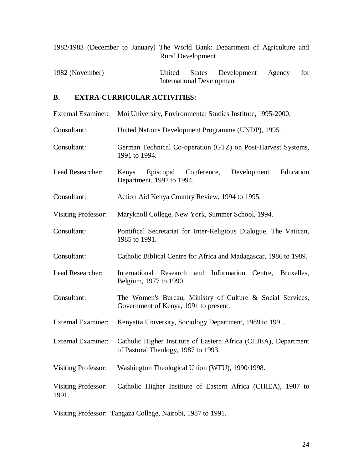|  |  |                          | 1982/1983 (December to January) The World Bank: Department of Agriculture and |  |  |
|--|--|--------------------------|-------------------------------------------------------------------------------|--|--|
|  |  | <b>Rural Development</b> |                                                                               |  |  |

1982 (November) United States Development Agency for International Development

## **B. EXTRA-CURRICULAR ACTIVITIES:**

|  | External Examiner: Moi University, Environmental Studies Institute, 1995-2000. |  |
|--|--------------------------------------------------------------------------------|--|
|--|--------------------------------------------------------------------------------|--|

- Consultant: United Nations Development Programme (UNDP), 1995.
- Consultant: German Technical Co-operation (GTZ) on Post-Harvest Systems, 1991 to 1994.
- Lead Researcher: Kenya Episcopal Conference, Development Education Department, 1992 to 1994.
- Consultant: Action Aid Kenya Country Review, 1994 to 1995.
- Visiting Professor: Maryknoll College, New York, Summer School, 1994.
- Consultant: Pontifical Secretariat for Inter-Religious Dialogue, The Vatican, 1985 to 1991.
- Consultant: Catholic Biblical Centre for Africa and Madagascar, 1986 to 1989.
- Lead Researcher: International Research and Information Centre, Bruxelles, Belgium, 1977 to 1990.
- Consultant: The Women's Bureau, Ministry of Culture & Social Services, Government of Kenya, 1991 to present.
- External Examiner: Kenyatta University, Sociology Department, 1989 to 1991.
- External Examiner: Catholic Higher Institute of Eastern Africa (CHIEA), Department of Pastoral Theology, 1987 to 1993.
- Visiting Professor: Washington Theological Union (WTU), 1990/1998.

Visiting Professor: Catholic Higher Institute of Eastern Africa (CHIEA), 1987 to 1991.

Visiting Professor: Tangaza College, Nairobi, 1987 to 1991.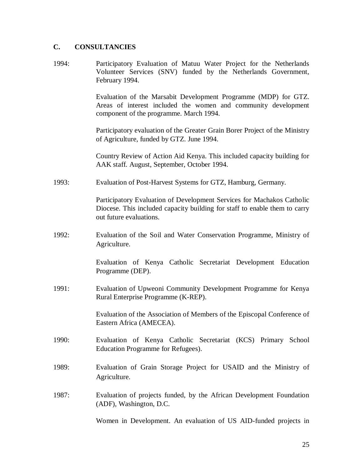## **C. CONSULTANCIES**

1994: Participatory Evaluation of Matuu Water Project for the Netherlands Volunteer Services (SNV) funded by the Netherlands Government, February 1994.

> Evaluation of the Marsabit Development Programme (MDP) for GTZ. Areas of interest included the women and community development component of the programme. March 1994.

> Participatory evaluation of the Greater Grain Borer Project of the Ministry of Agriculture, funded by GTZ. June 1994.

> Country Review of Action Aid Kenya. This included capacity building for AAK staff. August, September, October 1994.

1993: Evaluation of Post-Harvest Systems for GTZ, Hamburg, Germany.

Participatory Evaluation of Development Services for Machakos Catholic Diocese. This included capacity building for staff to enable them to carry out future evaluations.

1992: Evaluation of the Soil and Water Conservation Programme, Ministry of Agriculture.

> Evaluation of Kenya Catholic Secretariat Development Education Programme (DEP).

1991: Evaluation of Upweoni Community Development Programme for Kenya Rural Enterprise Programme (K-REP).

> Evaluation of the Association of Members of the Episcopal Conference of Eastern Africa (AMECEA).

- 1990: Evaluation of Kenya Catholic Secretariat (KCS) Primary School Education Programme for Refugees).
- 1989: Evaluation of Grain Storage Project for USAID and the Ministry of Agriculture.
- 1987: Evaluation of projects funded, by the African Development Foundation (ADF), Washington, D.C.

Women in Development. An evaluation of US AID-funded projects in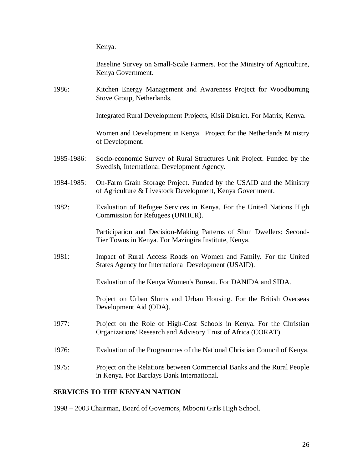Kenya.

|            | Baseline Survey on Small-Scale Farmers. For the Ministry of Agriculture,<br>Kenya Government.                                         |
|------------|---------------------------------------------------------------------------------------------------------------------------------------|
| 1986:      | Kitchen Energy Management and Awareness Project for Woodbuming<br>Stove Group, Netherlands.                                           |
|            | Integrated Rural Development Projects, Kisii District. For Matrix, Kenya.                                                             |
|            | Women and Development in Kenya. Project for the Netherlands Ministry<br>of Development.                                               |
| 1985-1986: | Socio-economic Survey of Rural Structures Unit Project. Funded by the<br>Swedish, International Development Agency.                   |
| 1984-1985: | On-Farm Grain Storage Project. Funded by the USAID and the Ministry<br>of Agriculture & Livestock Development, Kenya Government.      |
| 1982:      | Evaluation of Refugee Services in Kenya. For the United Nations High<br>Commission for Refugees (UNHCR).                              |
|            | Participation and Decision-Making Patterns of Shun Dwellers: Second-<br>Tier Towns in Kenya. For Mazingira Institute, Kenya.          |
| 1981:      | Impact of Rural Access Roads on Women and Family. For the United<br>States Agency for International Development (USAID).              |
|            | Evaluation of the Kenya Women's Bureau. For DANIDA and SIDA.                                                                          |
|            | Project on Urban Slums and Urban Housing. For the British Overseas<br>Development Aid (ODA).                                          |
| 1977:      | Project on the Role of High-Cost Schools in Kenya. For the Christian<br>Organizations' Research and Advisory Trust of Africa (CORAT). |
| 1976:      | Evaluation of the Programmes of the National Christian Council of Kenya.                                                              |
| 1975:      | Project on the Relations between Commercial Banks and the Rural People<br>in Kenya. For Barclays Bank International.                  |

## **SERVICES TO THE KENYAN NATION**

1998 – 2003 Chairman, Board of Governors, Mbooni Girls High School.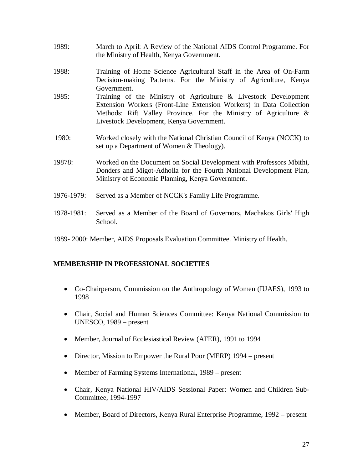- 1989: March to April: A Review of the National AIDS Control Programme. For the Ministry of Health, Kenya Government.
- 1988: Training of Home Science Agricultural Staff in the Area of On-Farm Decision-making Patterns. For the Ministry of Agriculture, Kenya Government.
- 1985: Training of the Ministry of Agriculture & Livestock Development Extension Workers (Front-Line Extension Workers) in Data Collection Methods: Rift Valley Province. For the Ministry of Agriculture & Livestock Development, Kenya Government.
- 1980: Worked closely with the National Christian Council of Kenya (NCCK) to set up a Department of Women & Theology).
- 19878: Worked on the Document on Social Development with Professors Mbithi, Donders and Migot-Adholla for the Fourth National Development Plan, Ministry of Economic Planning, Kenya Government.
- 1976-1979: Served as a Member of NCCK's Family Life Programme.
- 1978-1981: Served as a Member of the Board of Governors, Machakos Girls' High School.
- 1989- 2000: Member, AIDS Proposals Evaluation Committee. Ministry of Health.

## **MEMBERSHIP IN PROFESSIONAL SOCIETIES**

- Co-Chairperson, Commission on the Anthropology of Women (IUAES), 1993 to 1998
- Chair, Social and Human Sciences Committee: Kenya National Commission to UNESCO, 1989 – present
- Member, Journal of Ecclesiastical Review (AFER), 1991 to 1994
- Director, Mission to Empower the Rural Poor (MERP) 1994 present
- Member of Farming Systems International, 1989 present
- Chair, Kenya National HIV/AIDS Sessional Paper: Women and Children Sub-Committee, 1994-1997
- Member, Board of Directors, Kenya Rural Enterprise Programme, 1992 present